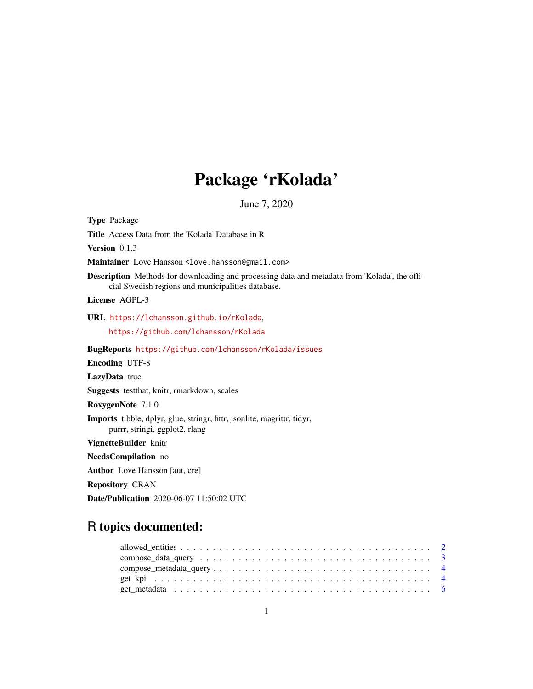## Package 'rKolada'

June 7, 2020

Title Access Data from the 'Kolada' Database in R Version 0.1.3 Maintainer Love Hansson <love.hansson@gmail.com> Description Methods for downloading and processing data and metadata from 'Kolada', the official Swedish regions and municipalities database. License AGPL-3 URL <https://lchansson.github.io/rKolada>, <https://github.com/lchansson/rKolada> BugReports <https://github.com/lchansson/rKolada/issues> Encoding UTF-8 LazyData true Suggests testthat, knitr, rmarkdown, scales RoxygenNote 7.1.0 Imports tibble, dplyr, glue, stringr, httr, jsonlite, magrittr, tidyr, purrr, stringi, ggplot2, rlang VignetteBuilder knitr NeedsCompilation no Author Love Hansson [aut, cre] Repository CRAN

Date/Publication 2020-06-07 11:50:02 UTC

## R topics documented:

<span id="page-0-0"></span>Type Package

| get metadata $\ldots \ldots \ldots \ldots \ldots \ldots \ldots \ldots \ldots \ldots \ldots \ldots \ldots$ |  |
|-----------------------------------------------------------------------------------------------------------|--|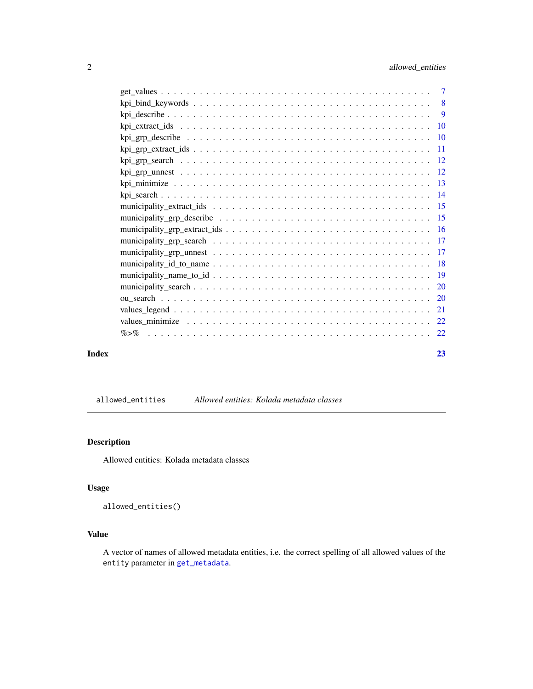<span id="page-1-0"></span>

| Index | 23 |
|-------|----|

## <span id="page-1-1"></span>allowed\_entities *Allowed entities: Kolada metadata classes*

## Description

Allowed entities: Kolada metadata classes

## Usage

allowed\_entities()

## Value

A vector of names of allowed metadata entities, i.e. the correct spelling of all allowed values of the entity parameter in [get\\_metadata](#page-5-1).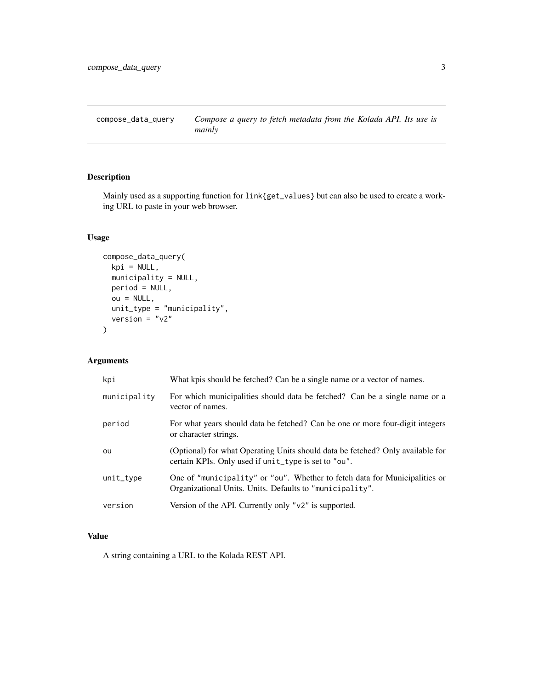<span id="page-2-0"></span>compose\_data\_query *Compose a query to fetch metadata from the Kolada API. Its use is mainly*

## Description

Mainly used as a supporting function for link{get\_values} but can also be used to create a working URL to paste in your web browser.

## Usage

```
compose_data_query(
 kpi = NULL,
 municipality = NULL,
 period = NULL,
 ou = NULL,unit_type = "municipality",
 version = "v2")
```
## Arguments

| kpi          | What kpis should be fetched? Can be a single name or a vector of names.                                                                |
|--------------|----------------------------------------------------------------------------------------------------------------------------------------|
| municipality | For which municipalities should data be fetched? Can be a single name or a<br>vector of names.                                         |
| period       | For what years should data be fetched? Can be one or more four-digit integers<br>or character strings.                                 |
| ou           | (Optional) for what Operating Units should data be fetched? Only available for<br>certain KPIs. Only used if unit_type is set to "ou". |
| unit_type    | One of "municipality" or "ou". Whether to fetch data for Municipalities or<br>Organizational Units. Units. Defaults to "municipality". |
| version      | Version of the API. Currently only " $v2$ " is supported.                                                                              |

## Value

A string containing a URL to the Kolada REST API.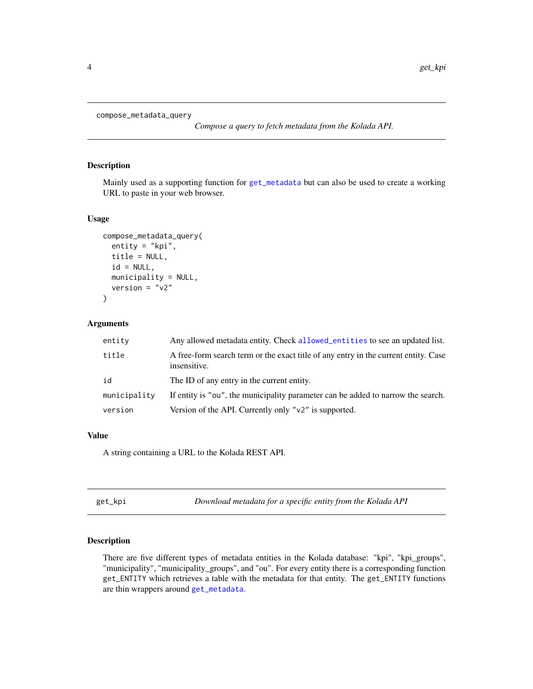```
compose_metadata_query
```
*Compose a query to fetch metadata from the Kolada API.*

#### Description

Mainly used as a supporting function for [get\\_metadata](#page-5-1) but can also be used to create a working URL to paste in your web browser.

#### Usage

```
compose_metadata_query(
 entity = "kpi",
  title = NULL,
 id = NULL,municipality = NULL,
  version = "v2")
```
## Arguments

| entity       | Any allowed metadata entity. Check allowed entities to see an updated list.                         |
|--------------|-----------------------------------------------------------------------------------------------------|
| title        | A free-form search term or the exact title of any entry in the current entity. Case<br>insensitive. |
| id           | The ID of any entry in the current entity.                                                          |
| municipality | If entity is "ou", the municipality parameter can be added to narrow the search.                    |
| version      | Version of the API. Currently only " $v2$ " is supported.                                           |

## Value

A string containing a URL to the Kolada REST API.

<span id="page-3-1"></span>get\_kpi *Download metadata for a specific entity from the Kolada API*

## <span id="page-3-2"></span>Description

There are five different types of metadata entities in the Kolada database: "kpi", "kpi\_groups", "municipality", "municipality\_groups", and "ou". For every entity there is a corresponding function get\_ENTITY which retrieves a table with the metadata for that entity. The get\_ENTITY functions are thin wrappers around [get\\_metadata](#page-5-1).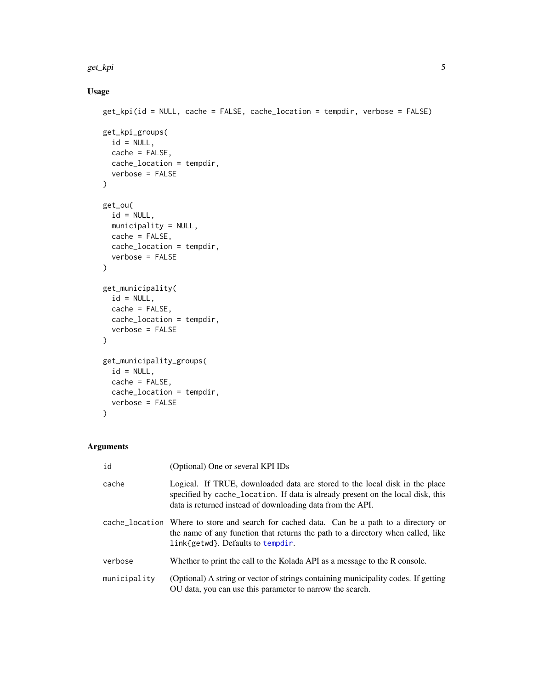#### <span id="page-4-0"></span>get\_kpi 5

## Usage

```
get_kpi(id = NULL, cache = FALSE, cache_location = tempdir, verbose = FALSE)
get_kpi_groups(
 id = NULL,cache = FALSE,
 cache_location = tempdir,
  verbose = FALSE
)
get_ou(
 id = NULL,municipality = NULL,
 cache = FALSE,cache_location = tempdir,
  verbose = FALSE
\mathcal{L}get_municipality(
 id = NULL,cache = FALSE,cache_location = tempdir,
  verbose = FALSE
)
get_municipality_groups(
 id = NULL,cache = FALSE,
 cache_location = tempdir,
 verbose = FALSE
)
```

| id           | (Optional) One or several KPI IDs                                                                                                                                                                                            |
|--------------|------------------------------------------------------------------------------------------------------------------------------------------------------------------------------------------------------------------------------|
| cache        | Logical. If TRUE, downloaded data are stored to the local disk in the place<br>specified by cache_location. If data is already present on the local disk, this<br>data is returned instead of downloading data from the API. |
|              | cache_location Where to store and search for cached data. Can be a path to a directory or<br>the name of any function that returns the path to a directory when called, like<br>link{getwd}. Defaults to tempdir.            |
| verbose      | Whether to print the call to the Kolada API as a message to the R console.                                                                                                                                                   |
| municipality | (Optional) A string or vector of strings containing municipality codes. If getting<br>OU data, you can use this parameter to narrow the search.                                                                              |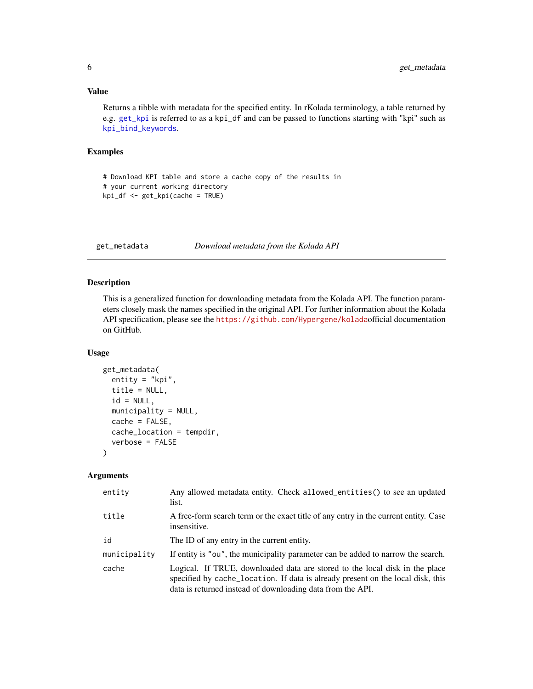<span id="page-5-0"></span>Returns a tibble with metadata for the specified entity. In rKolada terminology, a table returned by e.g. [get\\_kpi](#page-3-1) is referred to as a kpi\_df and can be passed to functions starting with "kpi" such as [kpi\\_bind\\_keywords](#page-7-1).

#### Examples

```
# Download KPI table and store a cache copy of the results in
# your current working directory
kpi_df <- get_kpi(cache = TRUE)
```
<span id="page-5-1"></span>get\_metadata *Download metadata from the Kolada API*

## Description

This is a generalized function for downloading metadata from the Kolada API. The function parameters closely mask the names specified in the original API. For further information about the Kolada API specification, please see the <https://github.com/Hypergene/kolada>official documentation on GitHub.

#### Usage

```
get_metadata(
 entity = "kpi",
  title = NULL,
  id = NULL,municipality = NULL,
 cache = FALSE,
  cache_location = tempdir,
  verbose = FALSE
\mathcal{L}
```

| entity       | Any allowed metadata entity. Check allowed_entities() to see an updated<br>list.                                                                                                                                             |
|--------------|------------------------------------------------------------------------------------------------------------------------------------------------------------------------------------------------------------------------------|
| title        | A free-form search term or the exact title of any entry in the current entity. Case<br>insensitive.                                                                                                                          |
| id           | The ID of any entry in the current entity.                                                                                                                                                                                   |
| municipality | If entity is "ou", the municipality parameter can be added to narrow the search.                                                                                                                                             |
| cache        | Logical. If TRUE, downloaded data are stored to the local disk in the place<br>specified by cache_location. If data is already present on the local disk, this<br>data is returned instead of downloading data from the API. |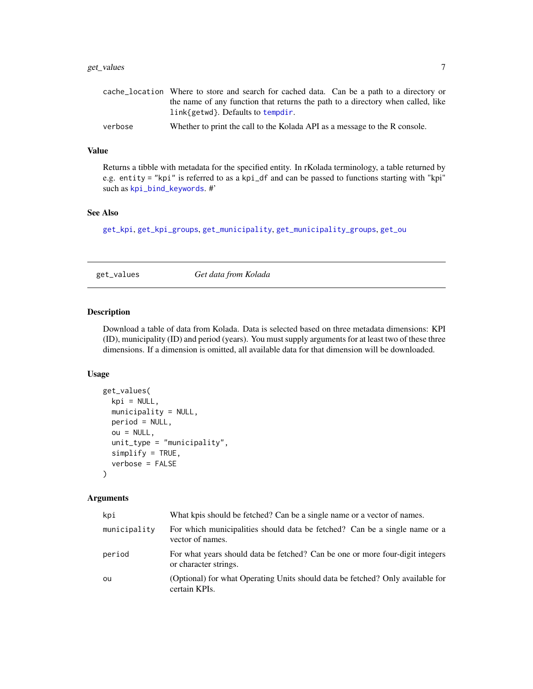## <span id="page-6-0"></span>get\_values 7

|         | cache_location Where to store and search for cached data. Can be a path to a directory or |
|---------|-------------------------------------------------------------------------------------------|
|         | the name of any function that returns the path to a directory when called, like           |
|         | link{getwd}. Defaults to tempdir.                                                         |
| verbose | Whether to print the call to the Kolada API as a message to the R console.                |

#### Value

Returns a tibble with metadata for the specified entity. In rKolada terminology, a table returned by e.g. entity = "kpi" is referred to as a kpi\_df and can be passed to functions starting with "kpi" such as [kpi\\_bind\\_keywords](#page-7-1). #'

## See Also

[get\\_kpi](#page-3-1), [get\\_kpi\\_groups](#page-3-2), [get\\_municipality](#page-3-2), [get\\_municipality\\_groups](#page-3-2), [get\\_ou](#page-3-2)

<span id="page-6-1"></span>get\_values *Get data from Kolada*

#### Description

Download a table of data from Kolada. Data is selected based on three metadata dimensions: KPI (ID), municipality (ID) and period (years). You must supply arguments for at least two of these three dimensions. If a dimension is omitted, all available data for that dimension will be downloaded.

#### Usage

```
get_values(
 kpi = NULL,municipality = NULL,
 period = NULL,
 ou = NULL,unit_type = "municipality",
  simplify = TRUE,
  verbose = FALSE
)
```

| kpi          | What kpis should be fetched? Can be a single name or a vector of names.                                |
|--------------|--------------------------------------------------------------------------------------------------------|
| municipality | For which municipalities should data be fetched? Can be a single name or a<br>vector of names.         |
| period       | For what years should data be fetched? Can be one or more four-digit integers<br>or character strings. |
| ou           | (Optional) for what Operating Units should data be fetched? Only available for<br>certain KPIs.        |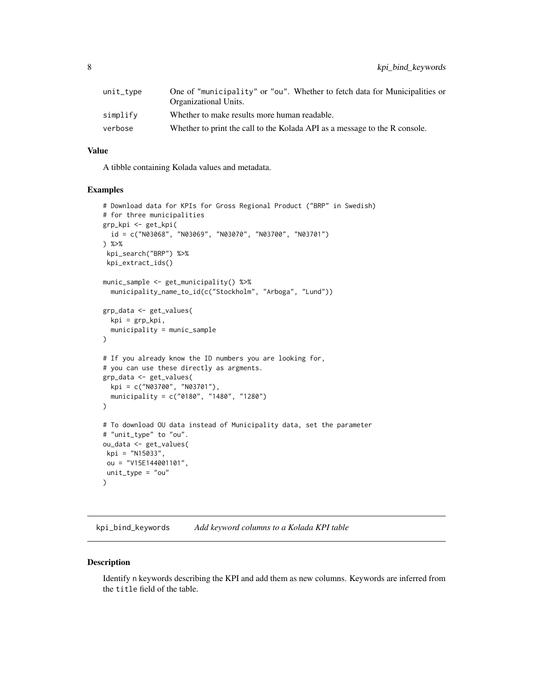<span id="page-7-0"></span>

| unit_type | One of "municipality" or "ou". Whether to fetch data for Municipalities or<br>Organizational Units. |
|-----------|-----------------------------------------------------------------------------------------------------|
| simplify  | Whether to make results more human readable.                                                        |
| verbose   | Whether to print the call to the Kolada API as a message to the R console.                          |

A tibble containing Kolada values and metadata.

#### Examples

```
# Download data for KPIs for Gross Regional Product ("BRP" in Swedish)
# for three municipalities
grp_kpi <- get_kpi(
 id = c("N03068", "N03069", "N03070", "N03700", "N03701")
) %>%
kpi_search("BRP") %>%
kpi_extract_ids()
munic_sample <- get_municipality() %>%
 municipality_name_to_id(c("Stockholm", "Arboga", "Lund"))
grp_data <- get_values(
 kpi = grp_kpi,
 municipality = munic_sample
)
# If you already know the ID numbers you are looking for,
# you can use these directly as argments.
grp_data <- get_values(
 kpi = c("N03700", "N03701"),
 municipality = c("0180", "1480", "1280")
\mathcal{L}# To download OU data instead of Municipality data, set the parameter
# "unit_type" to "ou".
ou_data <- get_values(
kpi = "N15033",
ou = "V15E144001101",
unit\_type = "ou"\mathcal{L}
```
<span id="page-7-1"></span>kpi\_bind\_keywords *Add keyword columns to a Kolada KPI table*

#### Description

Identify n keywords describing the KPI and add them as new columns. Keywords are inferred from the title field of the table.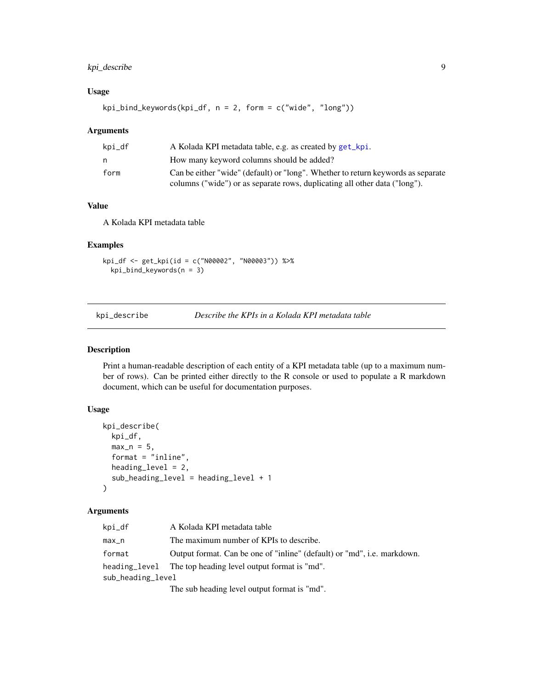## <span id="page-8-0"></span>kpi\_describe 9

## Usage

kpi\_bind\_keywords(kpi\_df, n = 2, form = c("wide", "long"))

#### Arguments

| kpi_df | A Kolada KPI metadata table, e.g. as created by get_kpi.                         |
|--------|----------------------------------------------------------------------------------|
| n      | How many keyword columns should be added?                                        |
| form   | Can be either "wide" (default) or "long". Whether to return keywords as separate |
|        | columns ("wide") or as separate rows, duplicating all other data ("long").       |

## Value

A Kolada KPI metadata table

#### Examples

```
kpi_df <- get_kpi(id = c("N00002", "N00003")) %>%
  kpi_bind_keywords(n = 3)
```
kpi\_describe *Describe the KPIs in a Kolada KPI metadata table*

## Description

Print a human-readable description of each entity of a KPI metadata table (up to a maximum number of rows). Can be printed either directly to the R console or used to populate a R markdown document, which can be useful for documentation purposes.

## Usage

```
kpi_describe(
  kpi_df,
  max_n = 5,
  format = "inline",
  heading_level = 2,
  sub_heading_level = heading_level + 1
)
```

| kpi_df            | A Kolada KPI metadata table                                             |
|-------------------|-------------------------------------------------------------------------|
| max_n             | The maximum number of KPIs to describe.                                 |
| format            | Output format. Can be one of "inline" (default) or "md", i.e. markdown. |
|                   | heading_level The top heading level output format is "md".              |
| sub_heading_level |                                                                         |
|                   | The sub heading level output format is "md".                            |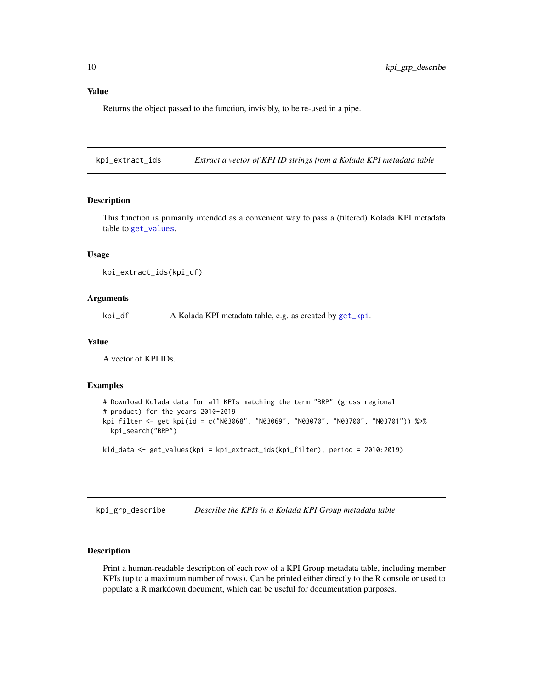<span id="page-9-0"></span>Returns the object passed to the function, invisibly, to be re-used in a pipe.

kpi\_extract\_ids *Extract a vector of KPI ID strings from a Kolada KPI metadata table*

## Description

This function is primarily intended as a convenient way to pass a (filtered) Kolada KPI metadata table to [get\\_values](#page-6-1).

#### Usage

```
kpi_extract_ids(kpi_df)
```
#### Arguments

kpi\_df A Kolada KPI metadata table, e.g. as created by [get\\_kpi](#page-3-1).

#### Value

A vector of KPI IDs.

#### Examples

```
# Download Kolada data for all KPIs matching the term "BRP" (gross regional
# product) for the years 2010-2019
kpi_filter <- get_kpi(id = c("N03068", "N03069", "N03070", "N03700", "N03701")) %>%
 kpi_search("BRP")
kld_data <- get_values(kpi = kpi_extract_ids(kpi_filter), period = 2010:2019)
```
<span id="page-9-1"></span>kpi\_grp\_describe *Describe the KPIs in a Kolada KPI Group metadata table*

#### Description

Print a human-readable description of each row of a KPI Group metadata table, including member KPIs (up to a maximum number of rows). Can be printed either directly to the R console or used to populate a R markdown document, which can be useful for documentation purposes.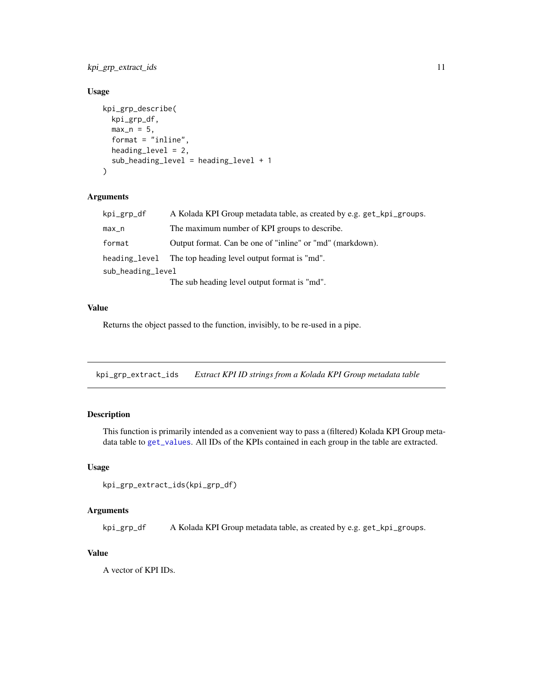<span id="page-10-0"></span>kpi\_grp\_extract\_ids 11

## Usage

```
kpi_grp_describe(
  kpi_grp_df,
  max_n = 5,
  format = "inline",
  heading_level = 2,
  sub_heading_level = heading_level + 1
)
```
## Arguments

| kpi_grp_df        | A Kolada KPI Group metadata table, as created by e.g. get_kpi_groups. |
|-------------------|-----------------------------------------------------------------------|
| max_n             | The maximum number of KPI groups to describe.                         |
| format            | Output format. Can be one of "inline" or "md" (markdown).             |
| heading_level     | The top heading level output format is "md".                          |
| sub_heading_level |                                                                       |
|                   | The sub heading level output format is "md".                          |

#### Value

Returns the object passed to the function, invisibly, to be re-used in a pipe.

kpi\_grp\_extract\_ids *Extract KPI ID strings from a Kolada KPI Group metadata table*

## Description

This function is primarily intended as a convenient way to pass a (filtered) Kolada KPI Group metadata table to [get\\_values](#page-6-1). All IDs of the KPIs contained in each group in the table are extracted.

#### Usage

```
kpi_grp_extract_ids(kpi_grp_df)
```
#### Arguments

kpi\_grp\_df A Kolada KPI Group metadata table, as created by e.g. get\_kpi\_groups.

#### Value

A vector of KPI IDs.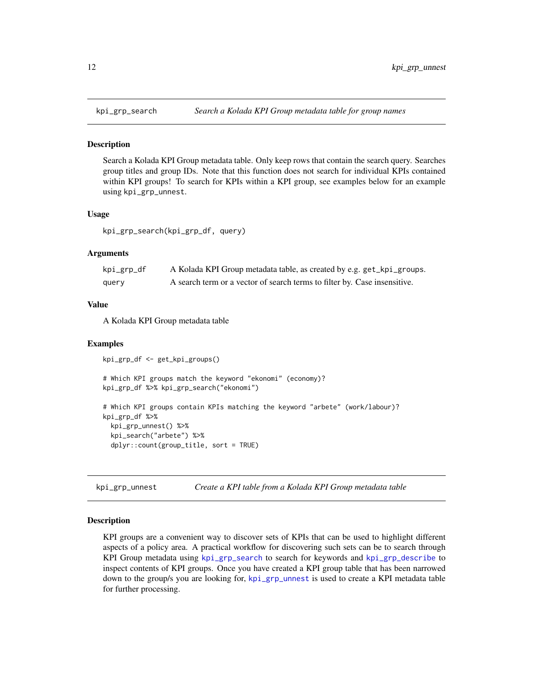<span id="page-11-1"></span><span id="page-11-0"></span>

#### Description

Search a Kolada KPI Group metadata table. Only keep rows that contain the search query. Searches group titles and group IDs. Note that this function does not search for individual KPIs contained within KPI groups! To search for KPIs within a KPI group, see examples below for an example using kpi\_grp\_unnest.

#### Usage

kpi\_grp\_search(kpi\_grp\_df, query)

## **Arguments**

| kpi_grp_df | A Kolada KPI Group metadata table, as created by e.g. get_kpi_groups.     |
|------------|---------------------------------------------------------------------------|
| query      | A search term or a vector of search terms to filter by. Case insensitive. |

#### Value

A Kolada KPI Group metadata table

#### Examples

kpi\_grp\_df <- get\_kpi\_groups()

```
# Which KPI groups match the keyword "ekonomi" (economy)?
kpi_grp_df %>% kpi_grp_search("ekonomi")
# Which KPI groups contain KPIs matching the keyword "arbete" (work/labour)?
kpi_grp_df %>%
 kpi_grp_unnest() %>%
 kpi_search("arbete") %>%
 dplyr::count(group_title, sort = TRUE)
```
<span id="page-11-2"></span>kpi\_grp\_unnest *Create a KPI table from a Kolada KPI Group metadata table*

#### Description

KPI groups are a convenient way to discover sets of KPIs that can be used to highlight different aspects of a policy area. A practical workflow for discovering such sets can be to search through KPI Group metadata using [kpi\\_grp\\_search](#page-11-1) to search for keywords and [kpi\\_grp\\_describe](#page-9-1) to inspect contents of KPI groups. Once you have created a KPI group table that has been narrowed down to the group/s you are looking for, [kpi\\_grp\\_unnest](#page-11-2) is used to create a KPI metadata table for further processing.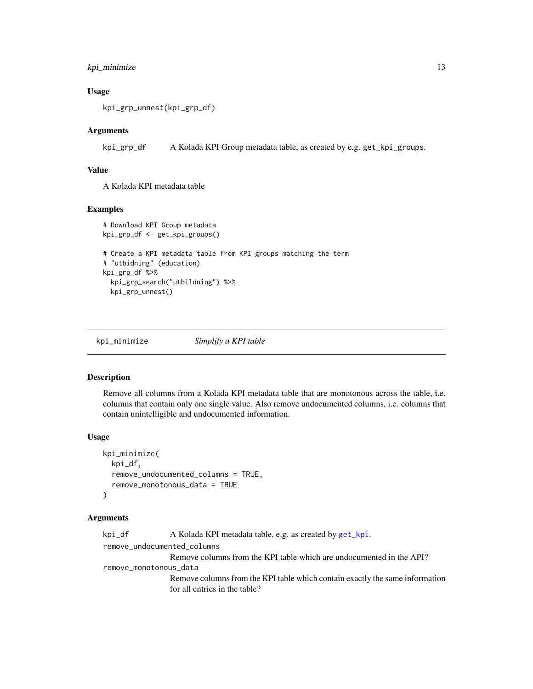## <span id="page-12-0"></span>kpi\_minimize 13

#### Usage

```
kpi_grp_unnest(kpi_grp_df)
```
### Arguments

kpi\_grp\_df A Kolada KPI Group metadata table, as created by e.g. get\_kpi\_groups.

#### Value

A Kolada KPI metadata table

#### Examples

```
# Download KPI Group metadata
kpi_grp_df <- get_kpi_groups()
# Create a KPI metadata table from KPI groups matching the term
# "utbidning" (education)
kpi_grp_df %>%
 kpi_grp_search("utbildning") %>%
 kpi_grp_unnest()
```
kpi\_minimize *Simplify a KPI table*

#### Description

Remove all columns from a Kolada KPI metadata table that are monotonous across the table, i.e. columns that contain only one single value. Also remove undocumented columns, i.e. columns that contain unintelligible and undocumented information.

#### Usage

```
kpi_minimize(
 kpi_df,
  remove_undocumented_columns = TRUE,
  remove_monotonous_data = TRUE
)
```

```
get_kpi.
remove_undocumented_columns
              Remove columns from the KPI table which are undocumented in the API?
remove_monotonous_data
              Remove columns from the KPI table which contain exactly the same information
              for all entries in the table?
```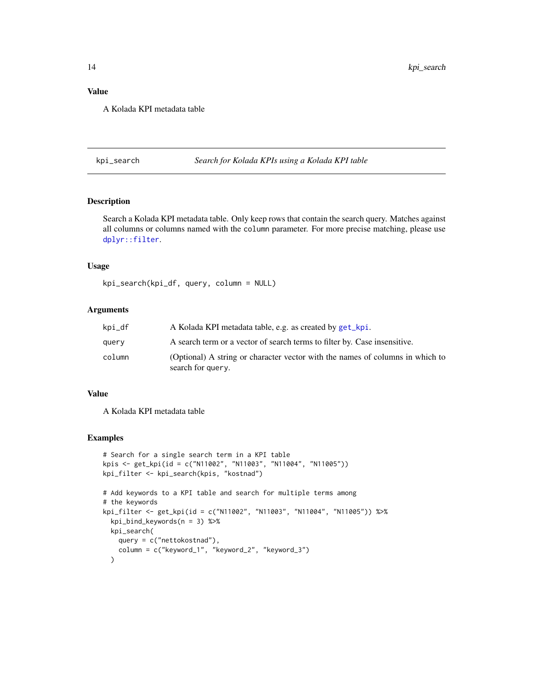<span id="page-13-0"></span>A Kolada KPI metadata table

kpi\_search *Search for Kolada KPIs using a Kolada KPI table*

## Description

Search a Kolada KPI metadata table. Only keep rows that contain the search query. Matches against all columns or columns named with the column parameter. For more precise matching, please use [dplyr::filter](#page-0-0).

#### Usage

kpi\_search(kpi\_df, query, column = NULL)

#### Arguments

| kpi_df | A Kolada KPI metadata table, e.g. as created by get_kpi.                                           |
|--------|----------------------------------------------------------------------------------------------------|
| query  | A search term or a vector of search terms to filter by. Case insensitive.                          |
| column | (Optional) A string or character vector with the names of columns in which to<br>search for query. |

#### Value

A Kolada KPI metadata table

## Examples

```
# Search for a single search term in a KPI table
kpis <- get_kpi(id = c("N11002", "N11003", "N11004", "N11005"))
kpi_filter <- kpi_search(kpis, "kostnad")
# Add keywords to a KPI table and search for multiple terms among
# the keywords
kpi_filter <- get_kpi(id = c("N11002", "N11003", "N11004", "N11005")) %>%
 kpi_bind_keywords(n = 3) %>%
 kpi_search(
   query = c("nettokostnad"),
   column = c("keyword_1", "keyword_2", "keyword_3")
 \lambda
```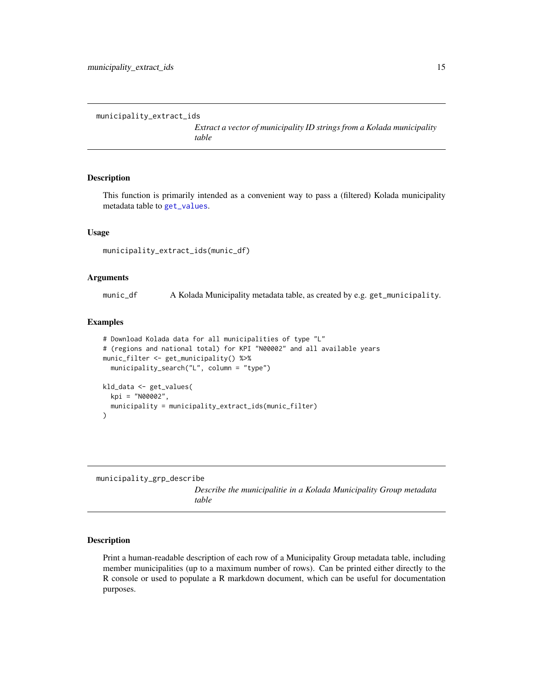```
municipality_extract_ids
```
*Extract a vector of municipality ID strings from a Kolada municipality table*

## Description

This function is primarily intended as a convenient way to pass a (filtered) Kolada municipality metadata table to [get\\_values](#page-6-1).

#### Usage

municipality\_extract\_ids(munic\_df)

#### Arguments

munic\_df A Kolada Municipality metadata table, as created by e.g. get\_municipality.

#### Examples

```
# Download Kolada data for all municipalities of type "L"
# (regions and national total) for KPI "N00002" and all available years
munic_filter <- get_municipality() %>%
  municipality_search("L", column = "type")
kld_data <- get_values(
  kpi = "N00002",
  municipality = municipality_extract_ids(munic_filter)
)
```
<span id="page-14-1"></span>municipality\_grp\_describe

*Describe the municipalitie in a Kolada Municipality Group metadata table*

#### Description

Print a human-readable description of each row of a Municipality Group metadata table, including member municipalities (up to a maximum number of rows). Can be printed either directly to the R console or used to populate a R markdown document, which can be useful for documentation purposes.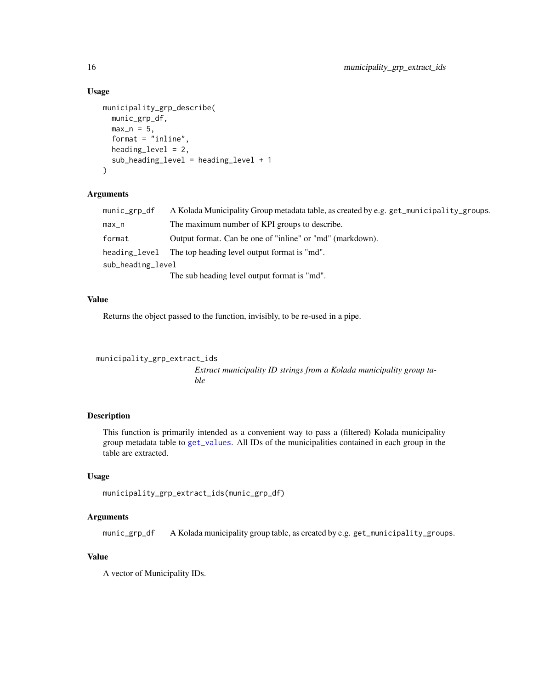## Usage

```
municipality_grp_describe(
 munic_grp_df,
 max_n = 5,
  format = "inline",
  heading_level = 2,
  sub_heading_level = heading_level + 1
)
```
#### Arguments

| munic_grp_df      | A Kolada Municipality Group metadata table, as created by e.g. get_municipality_groups. |
|-------------------|-----------------------------------------------------------------------------------------|
| $max_n$           | The maximum number of KPI groups to describe.                                           |
| format            | Output format. Can be one of "inline" or "md" (markdown).                               |
| heading_level     | The top heading level output format is "md".                                            |
| sub_heading_level |                                                                                         |
|                   | The sub heading level output format is "md".                                            |

## Value

Returns the object passed to the function, invisibly, to be re-used in a pipe.

```
municipality_grp_extract_ids
                          Extract municipality ID strings from a Kolada municipality group ta-
                          ble
```
## Description

This function is primarily intended as a convenient way to pass a (filtered) Kolada municipality group metadata table to [get\\_values](#page-6-1). All IDs of the municipalities contained in each group in the table are extracted.

#### Usage

```
municipality_grp_extract_ids(munic_grp_df)
```
## Arguments

munic\_grp\_df A Kolada municipality group table, as created by e.g. get\_municipality\_groups.

## Value

A vector of Municipality IDs.

<span id="page-15-0"></span>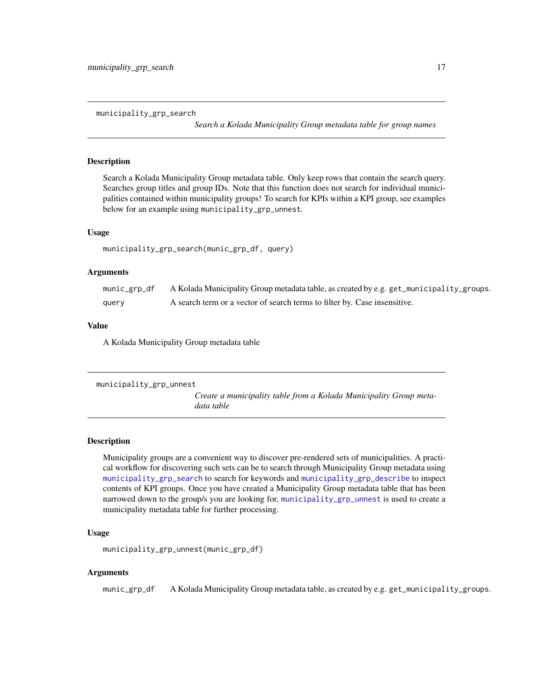<span id="page-16-1"></span><span id="page-16-0"></span>municipality\_grp\_search

*Search a Kolada Municipality Group metadata table for group names*

#### Description

Search a Kolada Municipality Group metadata table. Only keep rows that contain the search query. Searches group titles and group IDs. Note that this function does not search for individual municipalities contained within municipality groups! To search for KPIs within a KPI group, see examples below for an example using municipality\_grp\_unnest.

#### Usage

```
municipality_grp_search(munic_grp_df, query)
```
#### Arguments

| munic_grp_df | A Kolada Municipality Group metadata table, as created by e.g. get_municipality_groups. |
|--------------|-----------------------------------------------------------------------------------------|
| query        | A search term or a vector of search terms to filter by. Case insensitive.               |

#### Value

A Kolada Municipality Group metadata table

```
municipality_grp_unnest
```
*Create a municipality table from a Kolada Municipality Group metadata table*

#### Description

Municipality groups are a convenient way to discover pre-rendered sets of municipalities. A practical workflow for discovering such sets can be to search through Municipality Group metadata using [municipality\\_grp\\_search](#page-16-1) to search for keywords and [municipality\\_grp\\_describe](#page-14-1) to inspect contents of KPI groups. Once you have created a Municipality Group metadata table that has been narrowed down to the group/s you are looking for, [municipality\\_grp\\_unnest](#page-16-2) is used to create a municipality metadata table for further processing.

#### Usage

```
municipality_grp_unnest(munic_grp_df)
```
#### Arguments

munic\_grp\_df A Kolada Municipality Group metadata table, as created by e.g. get\_municipality\_groups.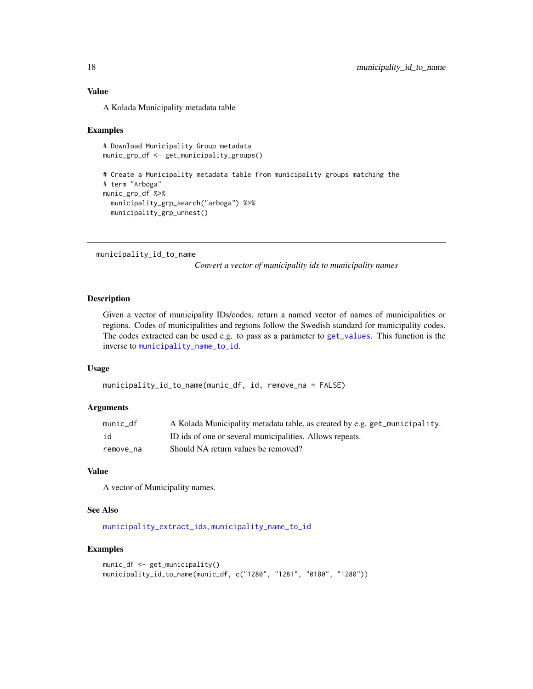A Kolada Municipality metadata table

#### Examples

```
# Download Municipality Group metadata
munic_grp_df <- get_municipality_groups()
# Create a Municipality metadata table from municipality groups matching the
# term "Arboga"
munic_grp_df %>%
  municipality_grp_search("arboga") %>%
```

```
municipality_grp_unnest()
```

```
municipality_id_to_name
```
*Convert a vector of municipality ids to municipality names*

#### Description

Given a vector of municipality IDs/codes, return a named vector of names of municipalities or regions. Codes of municipalities and regions follow the Swedish standard for municipality codes. The codes extracted can be used e.g. to pass as a parameter to [get\\_values](#page-6-1). This function is the inverse to [municipality\\_name\\_to\\_id](#page-18-1).

#### Usage

```
municipality_id_to_name(munic_df, id, remove_na = FALSE)
```
#### Arguments

| munic df  | A Kolada Municipality metadata table, as created by e.g. get_municipality. |
|-----------|----------------------------------------------------------------------------|
| id        | ID ids of one or several municipalities. Allows repeats.                   |
| remove na | Should NA return values be removed?                                        |

#### Value

A vector of Municipality names.

#### See Also

[municipality\\_extract\\_ids](#page-14-2), [municipality\\_name\\_to\\_id](#page-18-1)

#### Examples

```
munic_df <- get_municipality()
municipality_id_to_name(munic_df, c("1280", "1281", "0180", "1280"))
```
<span id="page-17-0"></span>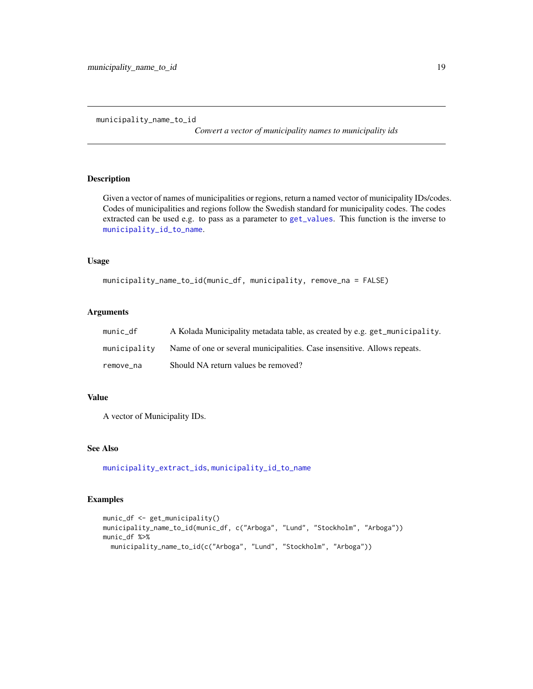<span id="page-18-1"></span><span id="page-18-0"></span>municipality\_name\_to\_id

*Convert a vector of municipality names to municipality ids*

## Description

Given a vector of names of municipalities or regions, return a named vector of municipality IDs/codes. Codes of municipalities and regions follow the Swedish standard for municipality codes. The codes extracted can be used e.g. to pass as a parameter to [get\\_values](#page-6-1). This function is the inverse to [municipality\\_id\\_to\\_name](#page-17-1).

#### Usage

```
municipality_name_to_id(munic_df, municipality, remove_na = FALSE)
```
#### Arguments

| munic df     | A Kolada Municipality metadata table, as created by e.g. get_municipality. |
|--------------|----------------------------------------------------------------------------|
| municipalitv | Name of one or several municipalities. Case insensitive. Allows repeats.   |
| remove na    | Should NA return values be removed?                                        |

#### Value

A vector of Municipality IDs.

#### See Also

[municipality\\_extract\\_ids](#page-14-2), [municipality\\_id\\_to\\_name](#page-17-1)

## Examples

```
munic_df <- get_municipality()
municipality_name_to_id(munic_df, c("Arboga", "Lund", "Stockholm", "Arboga"))
munic_df %>%
  municipality_name_to_id(c("Arboga", "Lund", "Stockholm", "Arboga"))
```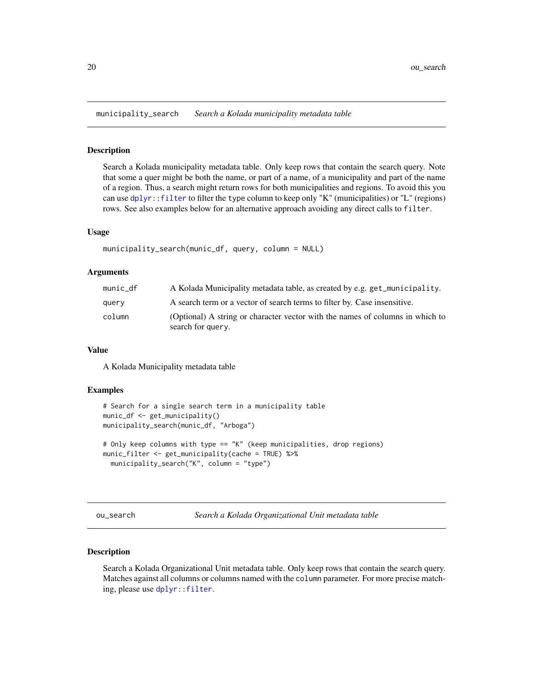<span id="page-19-0"></span>municipality\_search *Search a Kolada municipality metadata table*

#### **Description**

Search a Kolada municipality metadata table. Only keep rows that contain the search query. Note that some a quer might be both the name, or part of a name, of a municipality and part of the name of a region. Thus, a search might return rows for both municipalities and regions. To avoid this you can use [dplyr::filter](#page-0-0) to filter the type column to keep only "K" (municipalities) or "L" (regions) rows. See also examples below for an alternative approach avoiding any direct calls to filter.

#### Usage

```
municipality_search(munic_df, query, column = NULL)
```
#### Arguments

| munic df | A Kolada Municipality metadata table, as created by e.g. get_municipality.                         |
|----------|----------------------------------------------------------------------------------------------------|
| query    | A search term or a vector of search terms to filter by. Case insensitive.                          |
| column   | (Optional) A string or character vector with the names of columns in which to<br>search for query. |

#### Value

A Kolada Municipality metadata table

#### Examples

```
# Search for a single search term in a municipality table
munic_df <- get_municipality()
municipality_search(munic_df, "Arboga")
# Only keep columns with type == "K" (keep municipalities, drop regions)
munic_filter <- get_municipality(cache = TRUE) %>%
 municipality_search("K", column = "type")
```
ou\_search *Search a Kolada Organizational Unit metadata table*

#### Description

Search a Kolada Organizational Unit metadata table. Only keep rows that contain the search query. Matches against all columns or columns named with the column parameter. For more precise matching, please use [dplyr::filter](#page-0-0).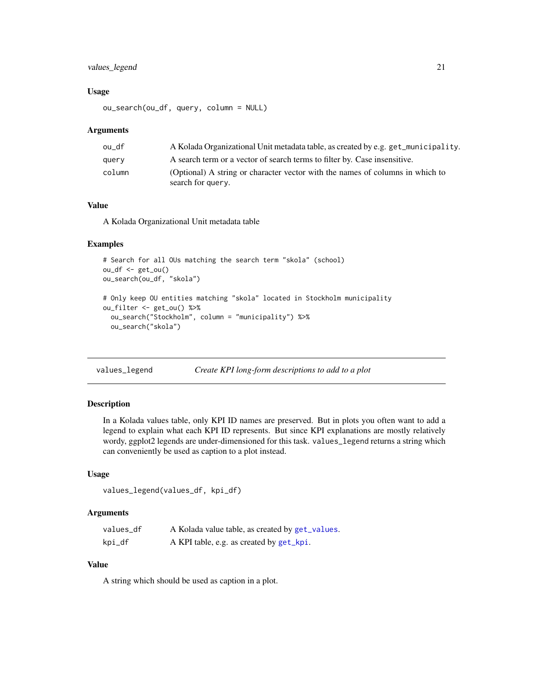## <span id="page-20-0"></span>values\_legend 21

#### Usage

ou\_search(ou\_df, query, column = NULL)

#### Arguments

| ou df  | A Kolada Organizational Unit metadata table, as created by e.g. get_municipality. |
|--------|-----------------------------------------------------------------------------------|
| query  | A search term or a vector of search terms to filter by. Case insensitive.         |
| column | (Optional) A string or character vector with the names of columns in which to     |
|        | search for query.                                                                 |

## Value

A Kolada Organizational Unit metadata table

## Examples

```
# Search for all OUs matching the search term "skola" (school)
ou_df <- get_ou()
ou_search(ou_df, "skola")
# Only keep OU entities matching "skola" located in Stockholm municipality
ou_filter <- get_ou() %>%
  ou_search("Stockholm", column = "municipality") %>%
  ou_search("skola")
```
values\_legend *Create KPI long-form descriptions to add to a plot*

#### Description

In a Kolada values table, only KPI ID names are preserved. But in plots you often want to add a legend to explain what each KPI ID represents. But since KPI explanations are mostly relatively wordy, ggplot2 legends are under-dimensioned for this task. values\_legend returns a string which can conveniently be used as caption to a plot instead.

#### Usage

```
values_legend(values_df, kpi_df)
```
#### Arguments

| values df | A Kolada value table, as created by get_values. |
|-----------|-------------------------------------------------|
| kpi_df    | A KPI table, e.g. as created by get_kpi.        |

#### Value

A string which should be used as caption in a plot.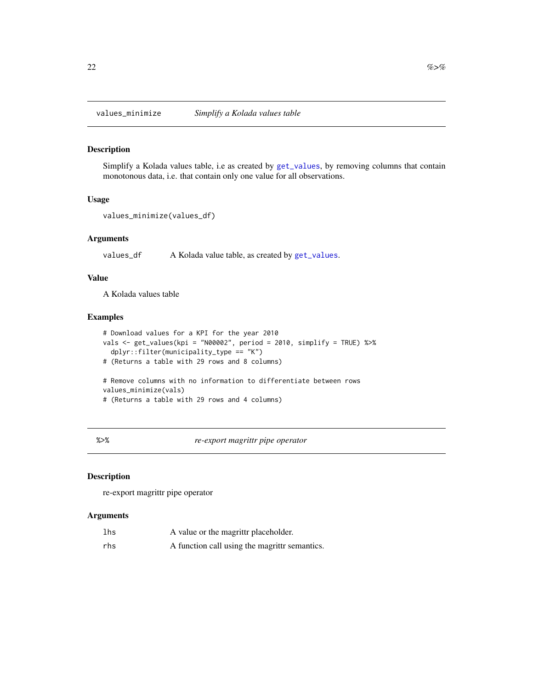<span id="page-21-0"></span>

## Description

Simplify a Kolada values table, i.e as created by [get\\_values](#page-6-1), by removing columns that contain monotonous data, i.e. that contain only one value for all observations.

## Usage

```
values_minimize(values_df)
```
## Arguments

values\_df A Kolada value table, as created by [get\\_values](#page-6-1).

## Value

A Kolada values table

#### Examples

```
# Download values for a KPI for the year 2010
vals <- get_values(kpi = "N00002", period = 2010, simplify = TRUE) %>%
  dplyr::filter(municipality_type == "K")
# (Returns a table with 29 rows and 8 columns)
# Remove columns with no information to differentiate between rows
values_minimize(vals)
# (Returns a table with 29 rows and 4 columns)
```
%>% *re-export magrittr pipe operator*

#### Description

re-export magrittr pipe operator

| lhs | A value or the magrittr placeholder.          |
|-----|-----------------------------------------------|
| rhs | A function call using the magrittr semantics. |